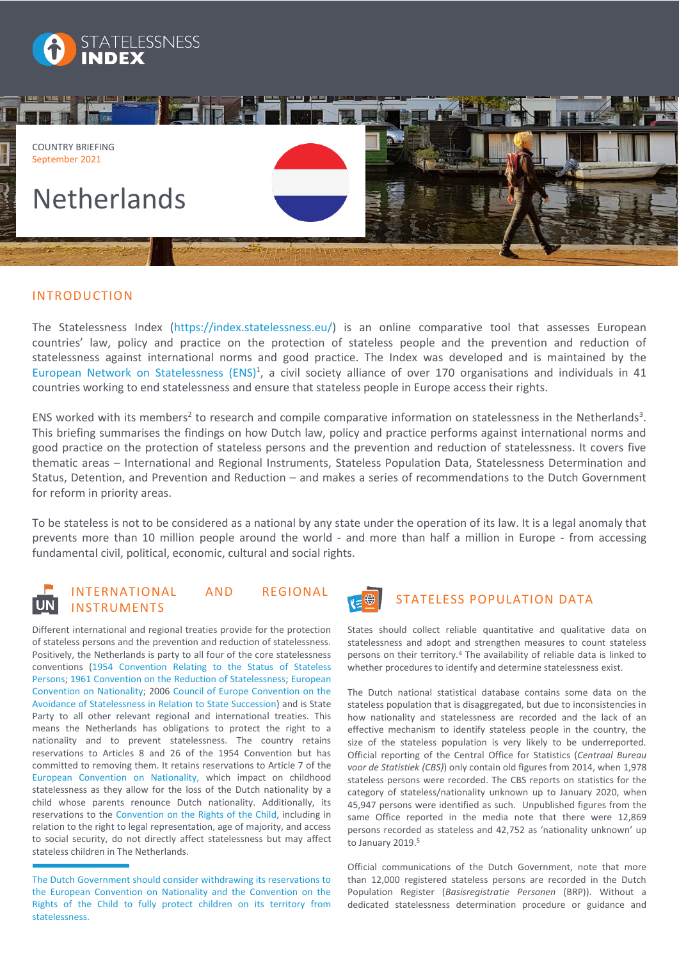



# INTRODUCTION

The Statelessness Index [\(https://index.statelessness.eu/\)](https://index.statelessness.eu/) is an online comparative tool that assesses European countries' law, policy and practice on the protection of stateless people and the prevention and reduction of statelessness against international norms and good practice. The Index was developed and is maintained by the [European Network on Statelessness \(ENS\)](https://www.statelessness.eu/)<sup>1</sup>, a civil society alliance of over 170 organisations and individuals in 41 countries working to end statelessness and ensure that stateless people in Europe access their rights.

ENS worked with its members<sup>2</sup> to research and compile comparative information on statelessness in the Netherlands<sup>3</sup>. This briefing summarises the findings on how Dutch law, policy and practice performs against international norms and good practice on the protection of stateless persons and the prevention and reduction of statelessness. It covers five thematic areas – International and Regional Instruments, Stateless Population Data, Statelessness Determination and Status, Detention, and Prevention and Reduction – and makes a series of recommendations to the Dutch Government for reform in priority areas.

To be stateless is not to be considered as a national by any state under the operation of its law. It is a legal anomaly that prevents more than 10 million people around the world - and more than half a million in Europe - from accessing fundamental civil, political, economic, cultural and social rights.

# INTERNATIONAL AND REGIONAL INSTRUMENTS

Different international and regional treaties provide for the protection of stateless persons and the prevention and reduction of statelessness. Positively, the Netherlands is party to all four of the core statelessness conventions [\(1954 Convention Relating to the Status](http://www.unhcr.org/ibelong/wp-content/uploads/1954-Convention-relating-to-the-Status-of-Stateless-Persons_ENG.pdf) of Stateless [Persons;](http://www.unhcr.org/ibelong/wp-content/uploads/1954-Convention-relating-to-the-Status-of-Stateless-Persons_ENG.pdf) [1961 Convention on the Reduction of Statelessness;](http://www.unhcr.org/protection/statelessness/3bbb286d8/convention-reduction-statelessness.html) [European](https://rm.coe.int/168007f2c8)  [Convention on Nationality;](https://rm.coe.int/168007f2c8) 2006 [Council of Europe Convention on the](file:///C:/Users/ENS-policy-laptop/AppData/Local/Microsoft/Windows/INetCache/Content.Outlook/GZSM4RWX/Convention%20on%20the%20Avoidance%20of%20Statelessness%20in%20Relation%20to%20State%20Succession)  [Avoidance of Statelessness in Relation to State Succession\)](file:///C:/Users/ENS-policy-laptop/AppData/Local/Microsoft/Windows/INetCache/Content.Outlook/GZSM4RWX/Convention%20on%20the%20Avoidance%20of%20Statelessness%20in%20Relation%20to%20State%20Succession) and is State Party to all other relevant regional and international treaties. This means the Netherlands has obligations to protect the right to a nationality and to prevent statelessness. The country retains reservations to Articles 8 and 26 of the 1954 Convention but has committed to removing them. It retains reservations to Article 7 of the [European Convention on Nationality,](https://rm.coe.int/168007f2c8) which impact on childhood statelessness as they allow for the loss of the Dutch nationality by a child whose parents renounce Dutch nationality. Additionally, its reservations to the [Convention on the Rights of the Child,](https://www.ohchr.org/Documents/ProfessionalInterest/crc.pdf) including in relation to the right to legal representation, age of majority, and access to social security, do not directly affect statelessness but may affect stateless children in The Netherlands.



# STATELESS POPULATION DATA

States should collect reliable quantitative and qualitative data on statelessness and adopt and strengthen measures to count stateless persons on their territory.<sup>4</sup> The availability of reliable data is linked to whether procedures to identify and determine statelessness exist.

The Dutch national statistical database contains some data on the stateless population that is disaggregated, but due to inconsistencies in how nationality and statelessness are recorded and the lack of an effective mechanism to identify stateless people in the country, the size of the stateless population is very likely to be underreported. Official reporting of the Central Office for Statistics (*Centraal Bureau voor de Statistiek (CBS)*) only contain old figures from 2014, when 1,978 stateless persons were recorded. The CBS reports on statistics for the category of stateless/nationality unknown up to January 2020, when 45,947 persons were identified as such. Unpublished figures from the same Office reported in the media note that there were 12,869 persons recorded as stateless and 42,752 as 'nationality unknown' up to January 2019. 5

Official communications of the Dutch Government, note that more than 12,000 registered stateless persons are recorded in the Dutch Population Register (*Basisregistratie Personen* (BRP)). Without a dedicated statelessness determination procedure or guidance and

The Dutch Government should consider withdrawing its reservations to the European Convention on Nationality and the Convention on the Rights of the Child to fully protect children on its territory from statelessness.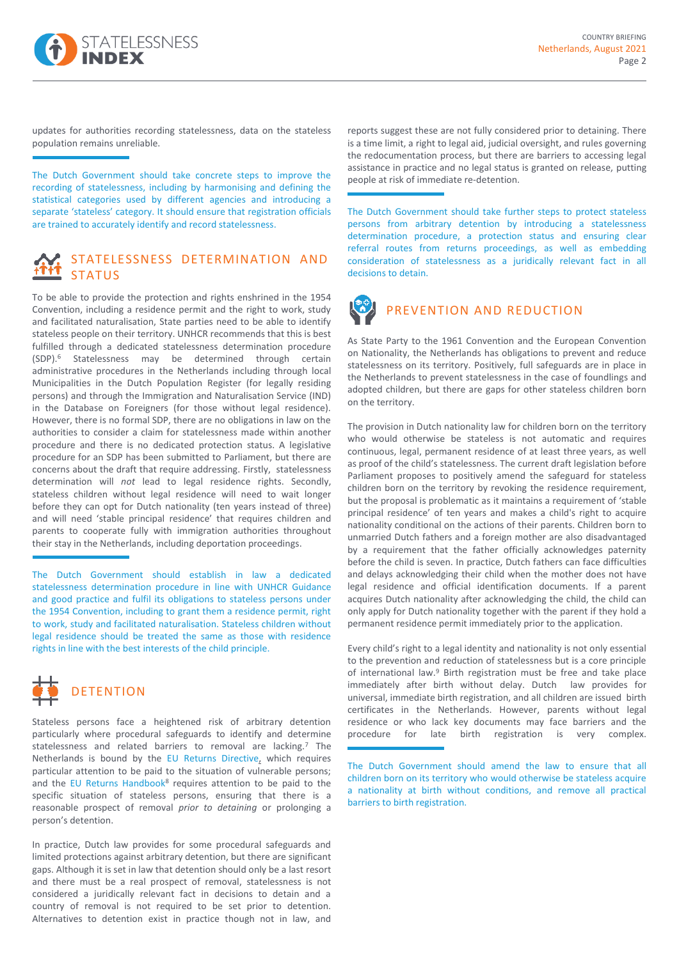

updates for authorities recording statelessness, data on the stateless population remains unreliable.

The Dutch Government should take concrete steps to improve the recording of statelessness, including by harmonising and defining the statistical categories used by different agencies and introducing a separate 'stateless' category. It should ensure that registration officials are trained to accurately identify and record statelessness.

## STATELESSNESS DETERMINATION AND **STATUS**

To be able to provide the protection and rights enshrined in the 1954 Convention, including a residence permit and the right to work, study and facilitated naturalisation, State parties need to be able to identify stateless people on their territory. UNHCR recommends that this is best fulfilled through a dedicated statelessness determination procedure (SDP). <sup>6</sup> Statelessness may be determined through certain administrative procedures in the Netherlands including through local Municipalities in the Dutch Population Register (for legally residing persons) and through the Immigration and Naturalisation Service (IND) in the Database on Foreigners (for those without legal residence). However, there is no formal SDP, there are no obligations in law on the authorities to consider a claim for statelessness made within another procedure and there is no dedicated protection status. A legislative procedure for an SDP has been submitted to Parliament, but there are concerns about the draft that require addressing. Firstly, statelessness determination will *not* lead to legal residence rights. Secondly, stateless children without legal residence will need to wait longer before they can opt for Dutch nationality (ten years instead of three) and will need 'stable principal residence' that requires children and parents to cooperate fully with immigration authorities throughout their stay in the Netherlands, including deportation proceedings.

The Dutch Government should establish in law a dedicated statelessness determination procedure in line with UNHCR Guidance and good practice and fulfil its obligations to stateless persons under the 1954 Convention, including to grant them a residence permit, right to work, study and facilitated naturalisation. Stateless children without legal residence should be treated the same as those with residence rights in line with the best interests of the child principle.



Stateless persons face a heightened risk of arbitrary detention particularly where procedural safeguards to identify and determine statelessness and related barriers to removal are lacking.<sup>7</sup> The Netherlands is bound by the [EU Returns Directive,](https://eur-lex.europa.eu/LexUriServ/LexUriServ.do?uri=OJ:L:2008:348:0098:0107:en:PDF) which requires particular attention to be paid to the situation of vulnerable persons; and the [EU Returns Handbook](https://ec.europa.eu/home-affairs/sites/homeaffairs/files/what-we-do/policies/european-agenda-migration/20170927_recommendation_on_establishing_a_common_return_handbook_annex_en.pdf)<sup>8</sup> requires attention to be paid to the specific situation of stateless persons, ensuring that there is a reasonable prospect of removal *prior to detaining* or prolonging a person's detention.

In practice, Dutch law provides for some procedural safeguards and limited protections against arbitrary detention, but there are significant gaps. Although it is set in law that detention should only be a last resort and there must be a real prospect of removal, statelessness is not considered a juridically relevant fact in decisions to detain and a country of removal is not required to be set prior to detention. Alternatives to detention exist in practice though not in law, and

reports suggest these are not fully considered prior to detaining. There is a time limit, a right to legal aid, judicial oversight, and rules governing the redocumentation process, but there are barriers to accessing legal assistance in practice and no legal status is granted on release, putting people at risk of immediate re-detention.

The Dutch Government should take further steps to protect stateless persons from arbitrary detention by introducing a statelessness determination procedure, a protection status and ensuring clear referral routes from returns proceedings, as well as embedding consideration of statelessness as a juridically relevant fact in all decisions to detain.



As State Party to the 1961 Convention and the European Convention on Nationality, the Netherlands has obligations to prevent and reduce statelessness on its territory. Positively, full safeguards are in place in the Netherlands to prevent statelessness in the case of foundlings and adopted children, but there are gaps for other stateless children born on the territory.

The provision in Dutch nationality law for children born on the territory who would otherwise be stateless is not automatic and requires continuous, legal, permanent residence of at least three years, as well as proof of the child's statelessness. The current draft legislation before Parliament proposes to positively amend the safeguard for stateless children born on the territory by revoking the residence requirement, but the proposal is problematic as it maintains a requirement of 'stable principal residence' of ten years and makes a child's right to acquire nationality conditional on the actions of their parents. Children born to unmarried Dutch fathers and a foreign mother are also disadvantaged by a requirement that the father officially acknowledges paternity before the child is seven. In practice, Dutch fathers can face difficulties and delays acknowledging their child when the mother does not have legal residence and official identification documents. If a parent acquires Dutch nationality after acknowledging the child, the child can only apply for Dutch nationality together with the parent if they hold a permanent residence permit immediately prior to the application.

Every child's right to a legal identity and nationality is not only essential to the prevention and reduction of statelessness but is a core principle of international law.<sup>9</sup> Birth registration must be free and take place immediately after birth without delay. Dutch law provides for universal, immediate birth registration, and all children are issued birth certificates in the Netherlands. However, parents without legal residence or who lack key documents may face barriers and the procedure for late birth registration is very complex.

The Dutch Government should amend the law to ensure that all children born on its territory who would otherwise be stateless acquire a nationality at birth without conditions, and remove all practical barriers to birth registration.